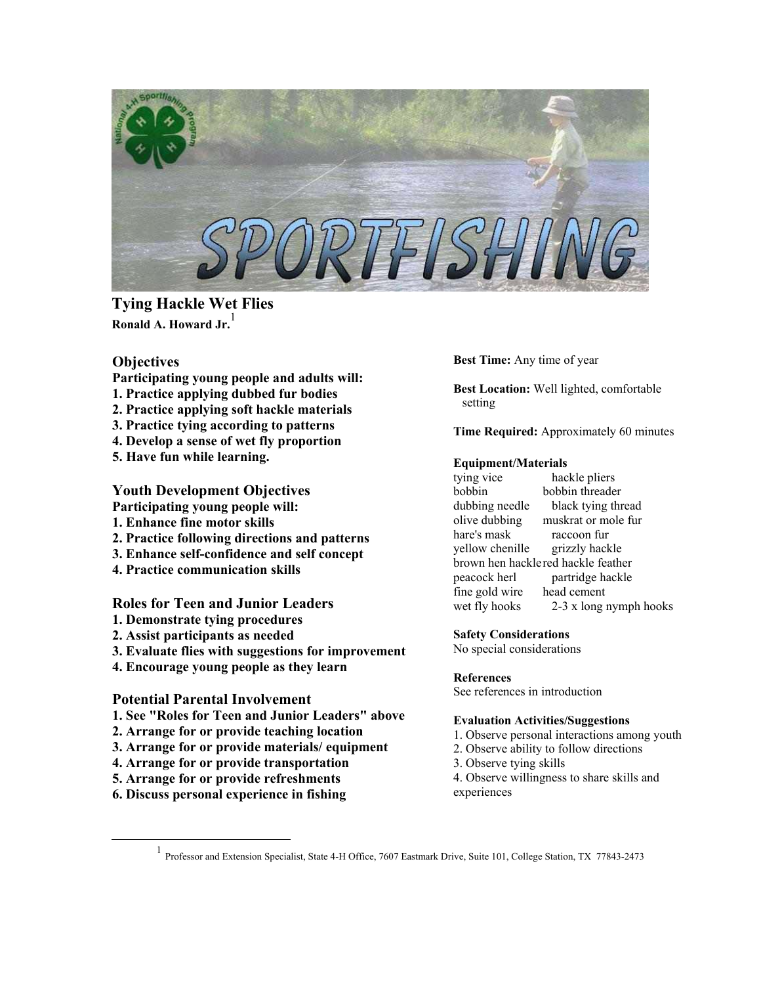

**Tying Hackle Wet Flies Ronald A. Howard Jr.** [1](#page-0-0)

# **Objectives**

- **Participating young people and adults will:**
- **1. Practice applying dubbed fur bodies**
- **2. Practice applying soft hackle materials**
- **3. Practice tying according to patterns**
- **4. Develop a sense of wet fly proportion**
- **5. Have fun while learning.**

# **Youth Development Objectives**

- **Participating young people will:**
- **1. Enhance fine motor skills**
- **2. Practice following directions and patterns**
- **3. Enhance self-confidence and self concept**
- **4. Practice communication skills**

# **Roles for Teen and Junior Leaders**

- **1. Demonstrate tying procedures**
- **2. Assist participants as needed**
- **3. Evaluate flies with suggestions for improvement**
- **4. Encourage young people as they learn**

### **Potential Parental Involvement**

- **1. See "Roles for Teen and Junior Leaders" above**
- **2. Arrange for or provide teaching location**
- **3. Arrange for or provide materials/ equipment**
- **4. Arrange for or provide transportation**
- **5. Arrange for or provide refreshments**
- **6. Discuss personal experience in fishing**

**Best Time:** Any time of year

**Best Location:** Well lighted, comfortable setting

**Time Required:** Approximately 60 minutes

### **Equipment/Materials**

tying vice hackle pliers bobbin bobbin threader dubbing needle black tying thread olive dubbing muskrat or mole fur hare's mask raccoon fur yellow chenille grizzly hackle brown hen hacklered hackle feather peacock herl partridge hackle fine gold wire head cement wet fly hooks 2-3 x long nymph hooks

### **Safety Considerations**

No special considerations

#### **References**

See references in introduction

#### **Evaluation Activities/Suggestions**

- 1. Observe personal interactions among youth
- 2. Observe ability to follow directions
- 3. Observe tying skills
- 4. Observe willingness to share skills and experiences

<span id="page-0-0"></span><u>1</u> Professor and Extension Specialist, State 4-H Office, 7607 Eastmark Drive, Suite 101, College Station, TX 77843-2473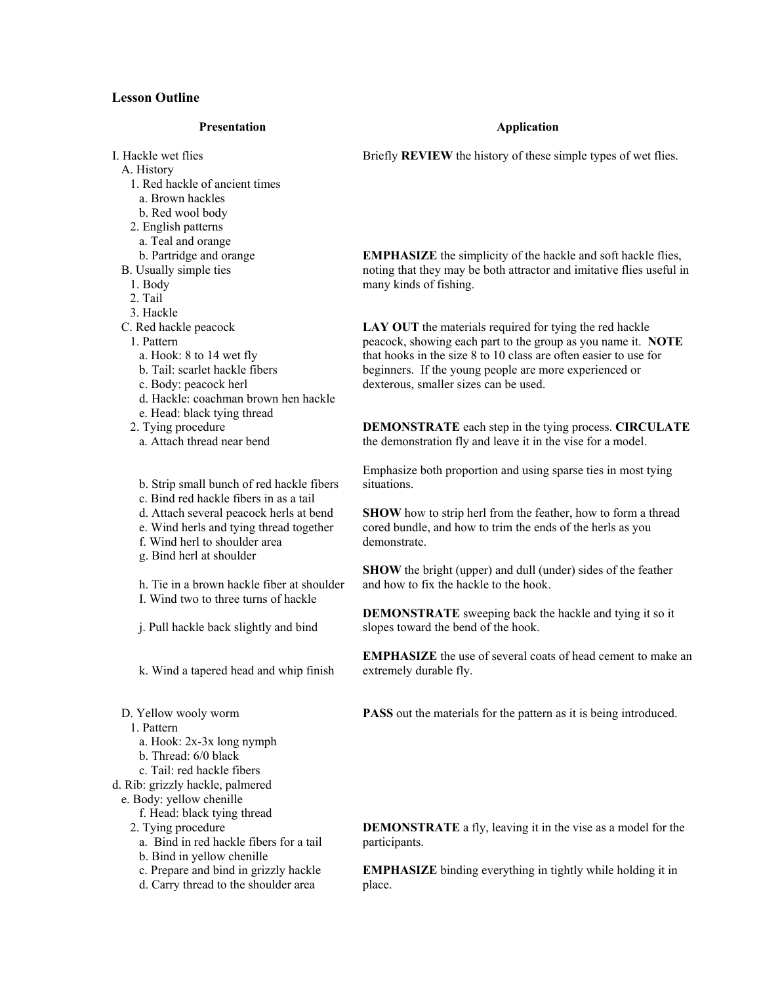## **Lesson Outline**

#### **Presentation**

I. Hackle wet flies A. History 1. Red hackle of ancient times a. Brown hackles b. Red wool body 2. English patterns a. Teal and orange

b. Partridge and orange

B. Usually simple ties

1. Body

2. Tail

3. Hackle

C. Red hackle peacock

1. Pattern

a. Hook: 8 to 14 wet fly

b. Tail: scarlet hackle fibers

c. Body: peacock herl

d. Hackle: coachman brown hen hackle

e. Head: black tying thread

2. Tying procedure

a. Attach thread near bend

b. Strip small bunch of red hackle fibers

c. Bind red hackle fibers in as a tail

d. Attach several peacock herls at bend

e. Wind herls and tying thread together

f. Wind herl to shoulder area

g. Bind herl at shoulder

h. Tie in a brown hackle fiber at shoulder I. Wind two to three turns of hackle

j. Pull hackle back slightly and bind

k. Wind a tapered head and whip finish

D. Yellow wooly worm

1. Pattern

a. Hook: 2x-3x long nymph

b. Thread: 6/0 black

c. Tail: red hackle fibers

d. Rib: grizzly hackle, palmered

e. Body: yellow chenille

f. Head: black tying thread

2. Tying procedure

a. Bind in red hackle fibers for a tail

b. Bind in yellow chenille

c. Prepare and bind in grizzly hackle

d. Carry thread to the shoulder area

#### **Application**

Briefly **REVIEW** the history of these simple types of wet flies.

**EMPHASIZE** the simplicity of the hackle and soft hackle flies, noting that they may be both attractor and imitative flies useful in many kinds of fishing.

LAY OUT the materials required for tying the red hackle peacock, showing each part to the group as you name it. **NOTE** that hooks in the size 8 to 10 class are often easier to use for beginners. If the young people are more experienced or dexterous, smaller sizes can be used.

**DEMONSTRATE** each step in the tying process. **CIRCULATE** the demonstration fly and leave it in the vise for a model.

Emphasize both proportion and using sparse ties in most tying situations.

**SHOW** how to strip herl from the feather, how to form a thread cored bundle, and how to trim the ends of the herls as you demonstrate.

**SHOW** the bright (upper) and dull (under) sides of the feather and how to fix the hackle to the hook.

**DEMONSTRATE** sweeping back the hackle and tying it so it slopes toward the bend of the hook.

**EMPHASIZE** the use of several coats of head cement to make an extremely durable fly.

**PASS** out the materials for the pattern as it is being introduced.

**DEMONSTRATE** a fly, leaving it in the vise as a model for the participants.

**EMPHASIZE** binding everything in tightly while holding it in place.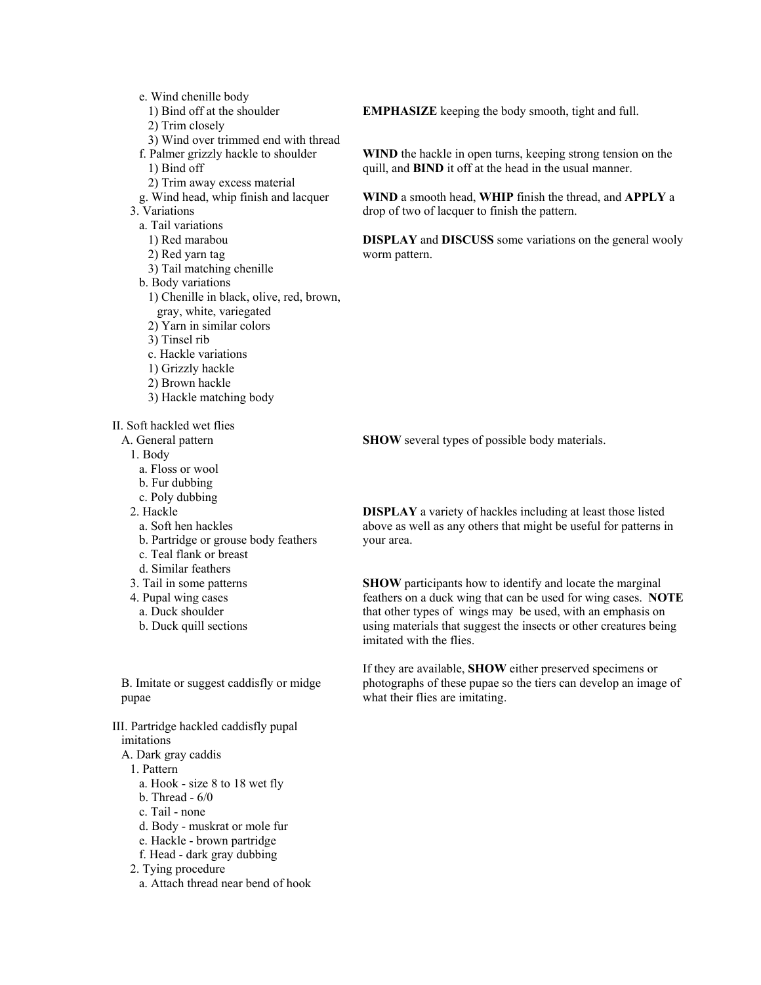e. Wind chenille body 1) Bind off at the shoulder 2) Trim closely 3) Wind over trimmed end with thread f. Palmer grizzly hackle to shoulder 1) Bind off 2) Trim away excess material g. Wind head, whip finish and lacquer 3. Variations a. Tail variations 1) Red marabou 2) Red yarn tag 3) Tail matching chenille b. Body variations 1) Chenille in black, olive, red, brown, gray, white, variegated 2) Yarn in similar colors 3) Tinsel rib c. Hackle variations 1) Grizzly hackle 2) Brown hackle 3) Hackle matching body II. Soft hackled wet flies A. General pattern 1. Body a. Floss or wool

- b. Fur dubbing
- c. Poly dubbing
- 2. Hackle
- - a. Soft hen hackles b. Partridge or grouse body feathers
- c. Teal flank or breast
- d. Similar feathers
- 
- 3. Tail in some patterns
- 4. Pupal wing cases
	- a. Duck shoulder
	- b. Duck quill sections

B. Imitate or suggest caddisfly or midge pupae

III. Partridge hackled caddisfly pupal imitations

- A. Dark gray caddis
- 1. Pattern
	- a. Hook size 8 to 18 wet fly
	- b. Thread 6/0
	- c. Tail none
	- d. Body muskrat or mole fur
	- e. Hackle brown partridge
	- f. Head dark gray dubbing
- 2. Tying procedure
	- a. Attach thread near bend of hook

**EMPHASIZE** keeping the body smooth, tight and full.

**WIND** the hackle in open turns, keeping strong tension on the quill, and **BIND** it off at the head in the usual manner.

**WIND** a smooth head, **WHIP** finish the thread, and **APPLY** a drop of two of lacquer to finish the pattern.

**DISPLAY** and **DISCUSS** some variations on the general wooly worm pattern.

**SHOW** several types of possible body materials.

**DISPLAY** a variety of hackles including at least those listed above as well as any others that might be useful for patterns in your area.

**SHOW** participants how to identify and locate the marginal feathers on a duck wing that can be used for wing cases. **NOTE** that other types of wings may be used, with an emphasis on using materials that suggest the insects or other creatures being imitated with the flies.

If they are available, **SHOW** either preserved specimens or photographs of these pupae so the tiers can develop an image of what their flies are imitating.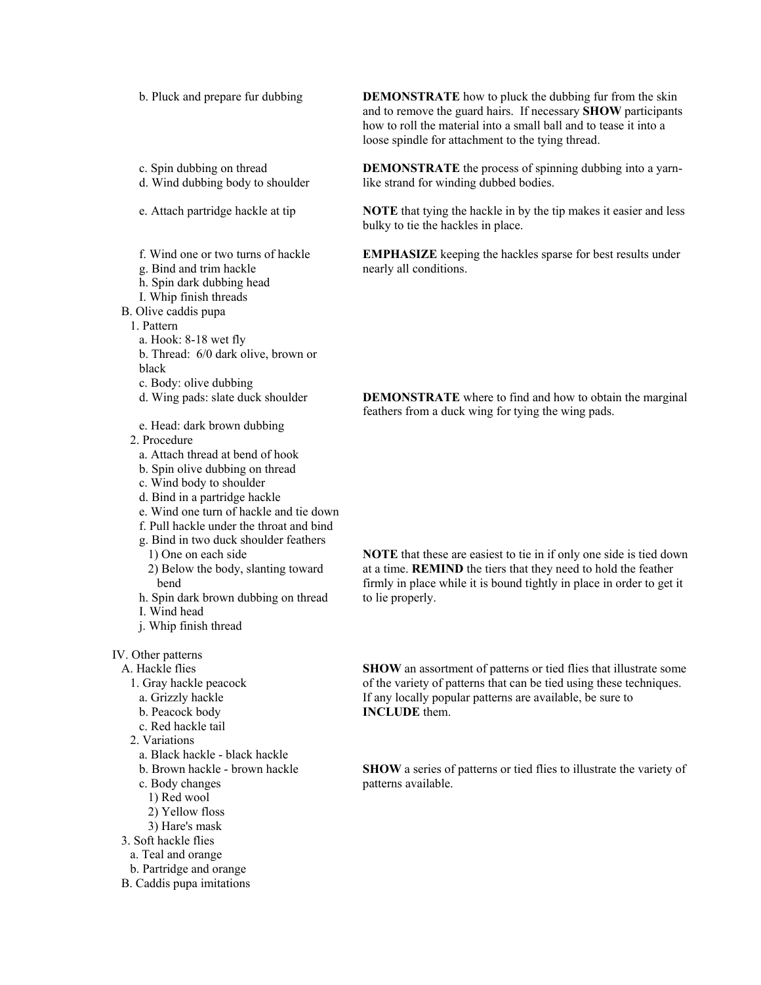b. Pluck and prepare fur dubbing

- c. Spin dubbing on thread
- d. Wind dubbing body to shoulder
- e. Attach partridge hackle at tip
- f. Wind one or two turns of hackle
- g. Bind and trim hackle
- h. Spin dark dubbing head
- I. Whip finish threads
- B. Olive caddis pupa
- 1. Pattern
	- a. Hook: 8-18 wet fly
	- b. Thread: 6/0 dark olive, brown or
	- black
	- c. Body: olive dubbing
	- d. Wing pads: slate duck shoulder
	- e. Head: dark brown dubbing
- 2. Procedure
	- a. Attach thread at bend of hook
	- b. Spin olive dubbing on thread
	- c. Wind body to shoulder
	- d. Bind in a partridge hackle
	- e. Wind one turn of hackle and tie down
	- f. Pull hackle under the throat and bind
	- g. Bind in two duck shoulder feathers
		- 1) One on each side
	- 2) Below the body, slanting toward bend
	- h. Spin dark brown dubbing on thread
- I. Wind head
- j. Whip finish thread
- IV. Other patterns
- A. Hackle flies
	- 1. Gray hackle peacock
	- a. Grizzly hackle
	- b. Peacock body
	- c. Red hackle tail
	- 2. Variations
		- a. Black hackle black hackle
		- b. Brown hackle brown hackle
		- c. Body changes
		- 1) Red wool
		- 2) Yellow floss
		- 3) Hare's mask
- 3. Soft hackle flies
- a. Teal and orange
- b. Partridge and orange
- B. Caddis pupa imitations

**DEMONSTRATE** how to pluck the dubbing fur from the skin and to remove the guard hairs. If necessary **SHOW** participants how to roll the material into a small ball and to tease it into a loose spindle for attachment to the tying thread.

**DEMONSTRATE** the process of spinning dubbing into a yarnlike strand for winding dubbed bodies.

**NOTE** that tying the hackle in by the tip makes it easier and less bulky to tie the hackles in place.

**EMPHASIZE** keeping the hackles sparse for best results under nearly all conditions.

**DEMONSTRATE** where to find and how to obtain the marginal feathers from a duck wing for tying the wing pads.

**NOTE** that these are easiest to tie in if only one side is tied down at a time. **REMIND** the tiers that they need to hold the feather firmly in place while it is bound tightly in place in order to get it to lie properly.

**SHOW** an assortment of patterns or tied flies that illustrate some of the variety of patterns that can be tied using these techniques. If any locally popular patterns are available, be sure to **INCLUDE** them.

**SHOW** a series of patterns or tied flies to illustrate the variety of patterns available.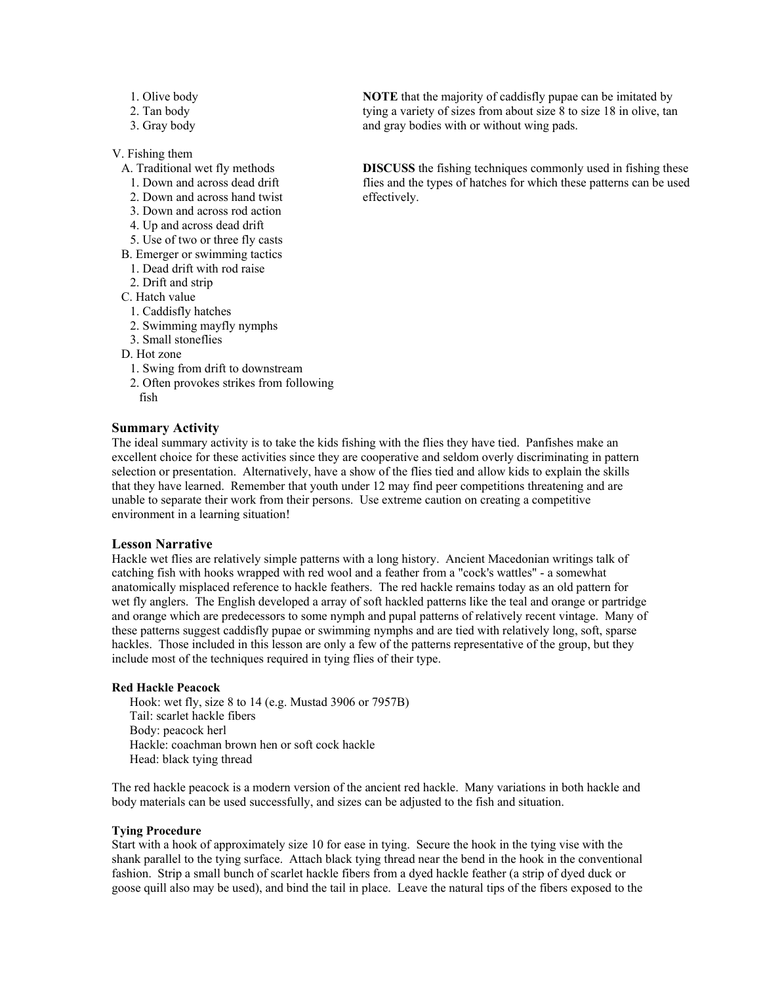- 1. Olive body
- 2. Tan body
- 3. Gray body

V. Fishing them

- A. Traditional wet fly methods
- 1. Down and across dead drift
- 2. Down and across hand twist
- 3. Down and across rod action
- 4. Up and across dead drift
- 5. Use of two or three fly casts B. Emerger or swimming tactics
- 1. Dead drift with rod raise
- 2. Drift and strip

C. Hatch value

- 
- 1. Caddisfly hatches
- 2. Swimming mayfly nymphs
- 3. Small stoneflies
- D. Hot zone
	- 1. Swing from drift to downstream
- 2. Often provokes strikes from following fish

### **Summary Activity**

The ideal summary activity is to take the kids fishing with the flies they have tied. Panfishes make an excellent choice for these activities since they are cooperative and seldom overly discriminating in pattern selection or presentation. Alternatively, have a show of the flies tied and allow kids to explain the skills that they have learned. Remember that youth under 12 may find peer competitions threatening and are unable to separate their work from their persons. Use extreme caution on creating a competitive environment in a learning situation!

#### **Lesson Narrative**

Hackle wet flies are relatively simple patterns with a long history. Ancient Macedonian writings talk of catching fish with hooks wrapped with red wool and a feather from a "cock's wattles" - a somewhat anatomically misplaced reference to hackle feathers. The red hackle remains today as an old pattern for wet fly anglers. The English developed a array of soft hackled patterns like the teal and orange or partridge and orange which are predecessors to some nymph and pupal patterns of relatively recent vintage. Many of these patterns suggest caddisfly pupae or swimming nymphs and are tied with relatively long, soft, sparse hackles. Those included in this lesson are only a few of the patterns representative of the group, but they include most of the techniques required in tying flies of their type.

#### **Red Hackle Peacock**

Hook: wet fly, size 8 to 14 (e.g. Mustad 3906 or 7957B) Tail: scarlet hackle fibers Body: peacock herl Hackle: coachman brown hen or soft cock hackle Head: black tying thread

The red hackle peacock is a modern version of the ancient red hackle. Many variations in both hackle and body materials can be used successfully, and sizes can be adjusted to the fish and situation.

#### **Tying Procedure**

Start with a hook of approximately size 10 for ease in tying. Secure the hook in the tying vise with the shank parallel to the tying surface. Attach black tying thread near the bend in the hook in the conventional fashion. Strip a small bunch of scarlet hackle fibers from a dyed hackle feather (a strip of dyed duck or goose quill also may be used), and bind the tail in place. Leave the natural tips of the fibers exposed to the

**NOTE** that the majority of caddisfly pupae can be imitated by tying a variety of sizes from about size 8 to size 18 in olive, tan and gray bodies with or without wing pads.

**DISCUSS** the fishing techniques commonly used in fishing these flies and the types of hatches for which these patterns can be used effectively.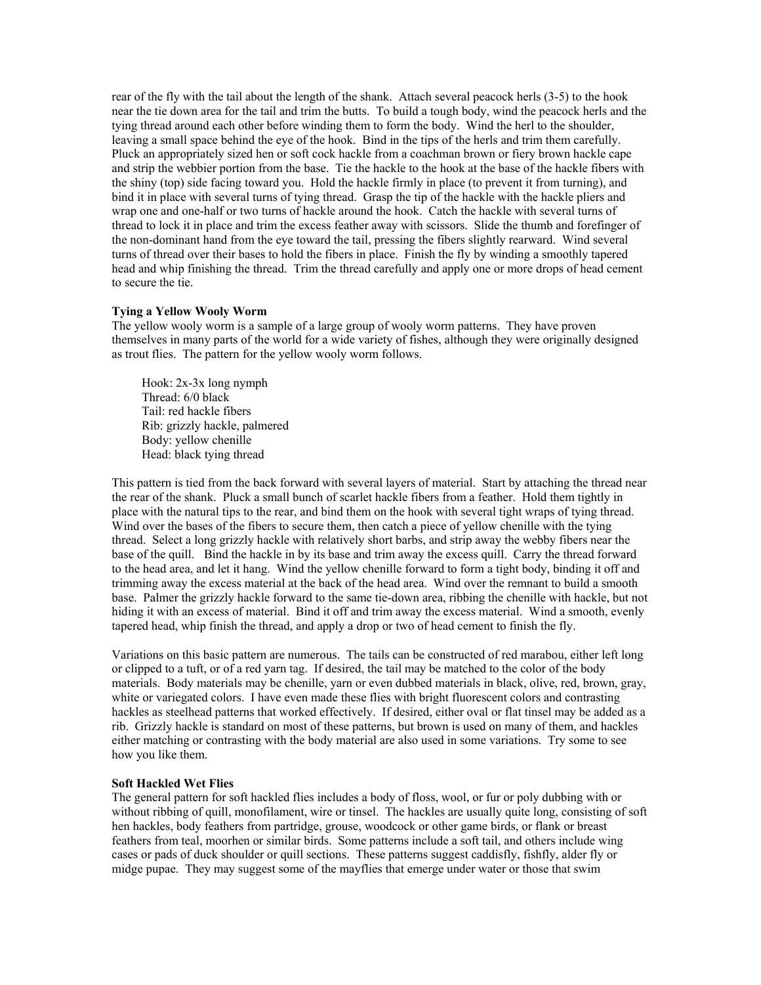rear of the fly with the tail about the length of the shank. Attach several peacock herls (3-5) to the hook near the tie down area for the tail and trim the butts. To build a tough body, wind the peacock herls and the tying thread around each other before winding them to form the body. Wind the herl to the shoulder, leaving a small space behind the eye of the hook. Bind in the tips of the herls and trim them carefully. Pluck an appropriately sized hen or soft cock hackle from a coachman brown or fiery brown hackle cape and strip the webbier portion from the base. Tie the hackle to the hook at the base of the hackle fibers with the shiny (top) side facing toward you. Hold the hackle firmly in place (to prevent it from turning), and bind it in place with several turns of tying thread. Grasp the tip of the hackle with the hackle pliers and wrap one and one-half or two turns of hackle around the hook. Catch the hackle with several turns of thread to lock it in place and trim the excess feather away with scissors. Slide the thumb and forefinger of the non-dominant hand from the eye toward the tail, pressing the fibers slightly rearward. Wind several turns of thread over their bases to hold the fibers in place. Finish the fly by winding a smoothly tapered head and whip finishing the thread. Trim the thread carefully and apply one or more drops of head cement to secure the tie.

#### **Tying a Yellow Wooly Worm**

The yellow wooly worm is a sample of a large group of wooly worm patterns. They have proven themselves in many parts of the world for a wide variety of fishes, although they were originally designed as trout flies. The pattern for the yellow wooly worm follows.

 Hook: 2x-3x long nymph Thread: 6/0 black Tail: red hackle fibers Rib: grizzly hackle, palmered Body: yellow chenille Head: black tying thread

This pattern is tied from the back forward with several layers of material. Start by attaching the thread near the rear of the shank. Pluck a small bunch of scarlet hackle fibers from a feather. Hold them tightly in place with the natural tips to the rear, and bind them on the hook with several tight wraps of tying thread. Wind over the bases of the fibers to secure them, then catch a piece of yellow chenille with the tying thread. Select a long grizzly hackle with relatively short barbs, and strip away the webby fibers near the base of the quill. Bind the hackle in by its base and trim away the excess quill. Carry the thread forward to the head area, and let it hang. Wind the yellow chenille forward to form a tight body, binding it off and trimming away the excess material at the back of the head area. Wind over the remnant to build a smooth base. Palmer the grizzly hackle forward to the same tie-down area, ribbing the chenille with hackle, but not hiding it with an excess of material. Bind it off and trim away the excess material. Wind a smooth, evenly tapered head, whip finish the thread, and apply a drop or two of head cement to finish the fly.

Variations on this basic pattern are numerous. The tails can be constructed of red marabou, either left long or clipped to a tuft, or of a red yarn tag. If desired, the tail may be matched to the color of the body materials. Body materials may be chenille, yarn or even dubbed materials in black, olive, red, brown, gray, white or variegated colors. I have even made these flies with bright fluorescent colors and contrasting hackles as steelhead patterns that worked effectively. If desired, either oval or flat tinsel may be added as a rib. Grizzly hackle is standard on most of these patterns, but brown is used on many of them, and hackles either matching or contrasting with the body material are also used in some variations. Try some to see how you like them.

#### **Soft Hackled Wet Flies**

The general pattern for soft hackled flies includes a body of floss, wool, or fur or poly dubbing with or without ribbing of quill, monofilament, wire or tinsel. The hackles are usually quite long, consisting of soft hen hackles, body feathers from partridge, grouse, woodcock or other game birds, or flank or breast feathers from teal, moorhen or similar birds. Some patterns include a soft tail, and others include wing cases or pads of duck shoulder or quill sections. These patterns suggest caddisfly, fishfly, alder fly or midge pupae. They may suggest some of the mayflies that emerge under water or those that swim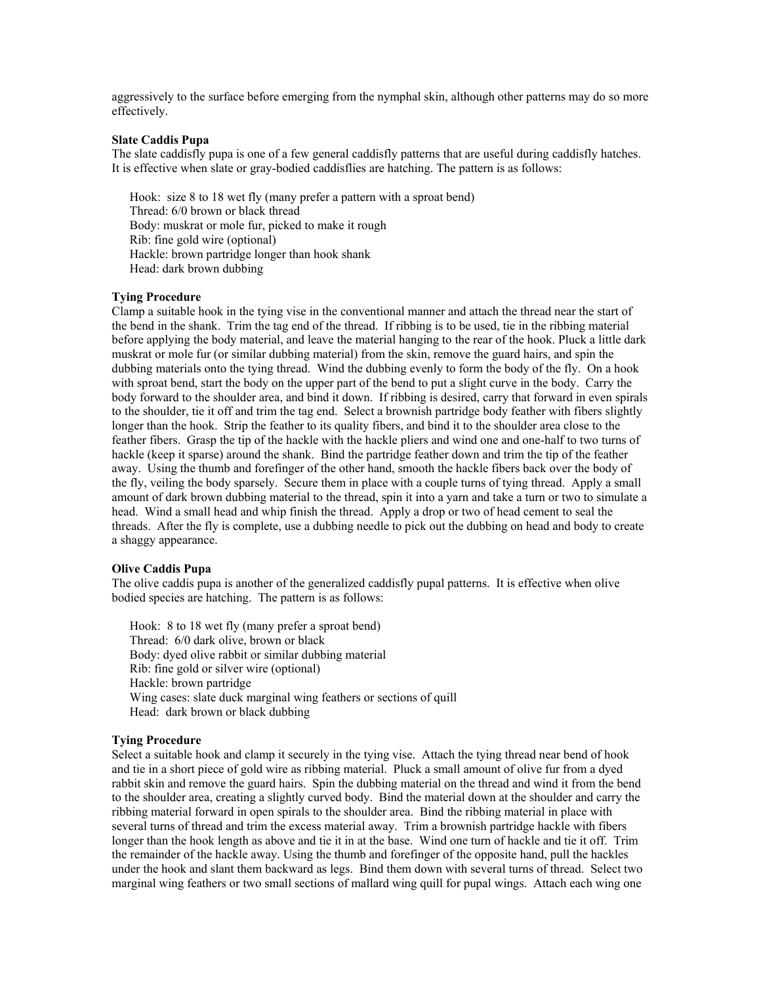aggressively to the surface before emerging from the nymphal skin, although other patterns may do so more effectively.

### **Slate Caddis Pupa**

The slate caddisfly pupa is one of a few general caddisfly patterns that are useful during caddisfly hatches. It is effective when slate or gray-bodied caddisflies are hatching. The pattern is as follows:

Hook: size 8 to 18 wet fly (many prefer a pattern with a sproat bend) Thread: 6/0 brown or black thread Body: muskrat or mole fur, picked to make it rough Rib: fine gold wire (optional) Hackle: brown partridge longer than hook shank Head: dark brown dubbing

### **Tying Procedure**

Clamp a suitable hook in the tying vise in the conventional manner and attach the thread near the start of the bend in the shank. Trim the tag end of the thread. If ribbing is to be used, tie in the ribbing material before applying the body material, and leave the material hanging to the rear of the hook. Pluck a little dark muskrat or mole fur (or similar dubbing material) from the skin, remove the guard hairs, and spin the dubbing materials onto the tying thread. Wind the dubbing evenly to form the body of the fly. On a hook with sproat bend, start the body on the upper part of the bend to put a slight curve in the body. Carry the body forward to the shoulder area, and bind it down. If ribbing is desired, carry that forward in even spirals to the shoulder, tie it off and trim the tag end. Select a brownish partridge body feather with fibers slightly longer than the hook. Strip the feather to its quality fibers, and bind it to the shoulder area close to the feather fibers. Grasp the tip of the hackle with the hackle pliers and wind one and one-half to two turns of hackle (keep it sparse) around the shank. Bind the partridge feather down and trim the tip of the feather away. Using the thumb and forefinger of the other hand, smooth the hackle fibers back over the body of the fly, veiling the body sparsely. Secure them in place with a couple turns of tying thread. Apply a small amount of dark brown dubbing material to the thread, spin it into a yarn and take a turn or two to simulate a head. Wind a small head and whip finish the thread. Apply a drop or two of head cement to seal the threads. After the fly is complete, use a dubbing needle to pick out the dubbing on head and body to create a shaggy appearance.

#### **Olive Caddis Pupa**

The olive caddis pupa is another of the generalized caddisfly pupal patterns. It is effective when olive bodied species are hatching. The pattern is as follows:

Hook: 8 to 18 wet fly (many prefer a sproat bend) Thread: 6/0 dark olive, brown or black Body: dyed olive rabbit or similar dubbing material Rib: fine gold or silver wire (optional) Hackle: brown partridge Wing cases: slate duck marginal wing feathers or sections of quill Head: dark brown or black dubbing

### **Tying Procedure**

Select a suitable hook and clamp it securely in the tying vise. Attach the tying thread near bend of hook and tie in a short piece of gold wire as ribbing material. Pluck a small amount of olive fur from a dyed rabbit skin and remove the guard hairs. Spin the dubbing material on the thread and wind it from the bend to the shoulder area, creating a slightly curved body. Bind the material down at the shoulder and carry the ribbing material forward in open spirals to the shoulder area. Bind the ribbing material in place with several turns of thread and trim the excess material away. Trim a brownish partridge hackle with fibers longer than the hook length as above and tie it in at the base. Wind one turn of hackle and tie it off. Trim the remainder of the hackle away. Using the thumb and forefinger of the opposite hand, pull the hackles under the hook and slant them backward as legs. Bind them down with several turns of thread. Select two marginal wing feathers or two small sections of mallard wing quill for pupal wings. Attach each wing one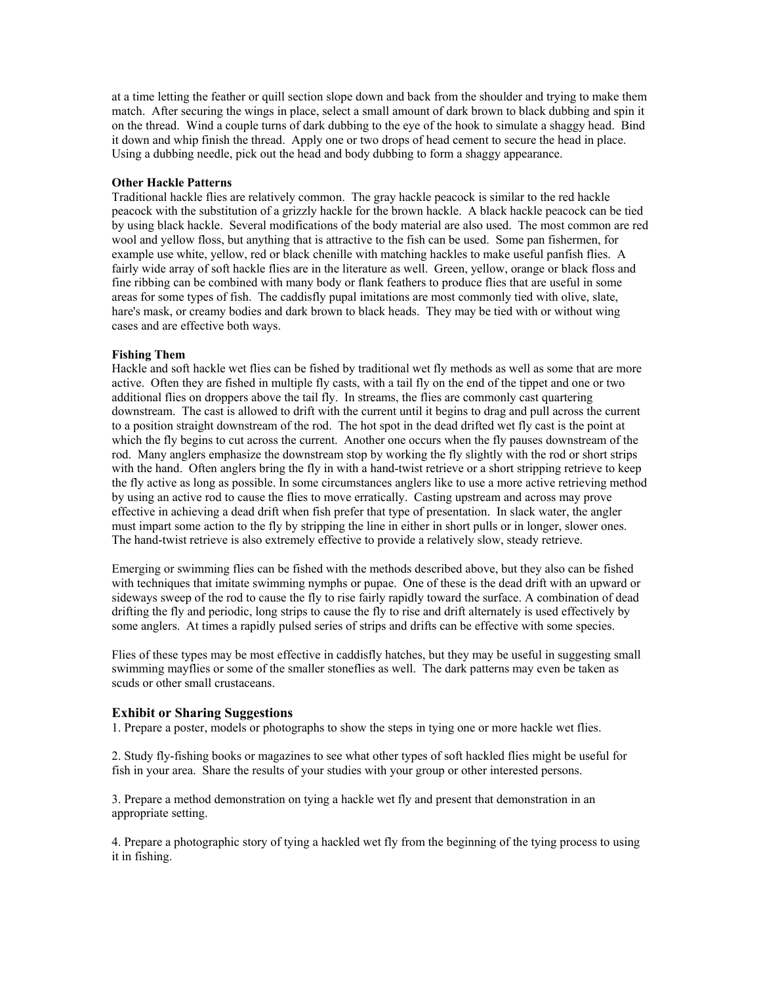at a time letting the feather or quill section slope down and back from the shoulder and trying to make them match. After securing the wings in place, select a small amount of dark brown to black dubbing and spin it on the thread. Wind a couple turns of dark dubbing to the eye of the hook to simulate a shaggy head. Bind it down and whip finish the thread. Apply one or two drops of head cement to secure the head in place. Using a dubbing needle, pick out the head and body dubbing to form a shaggy appearance.

### **Other Hackle Patterns**

Traditional hackle flies are relatively common. The gray hackle peacock is similar to the red hackle peacock with the substitution of a grizzly hackle for the brown hackle. A black hackle peacock can be tied by using black hackle. Several modifications of the body material are also used. The most common are red wool and yellow floss, but anything that is attractive to the fish can be used. Some pan fishermen, for example use white, yellow, red or black chenille with matching hackles to make useful panfish flies. A fairly wide array of soft hackle flies are in the literature as well. Green, yellow, orange or black floss and fine ribbing can be combined with many body or flank feathers to produce flies that are useful in some areas for some types of fish. The caddisfly pupal imitations are most commonly tied with olive, slate, hare's mask, or creamy bodies and dark brown to black heads. They may be tied with or without wing cases and are effective both ways.

#### **Fishing Them**

Hackle and soft hackle wet flies can be fished by traditional wet fly methods as well as some that are more active. Often they are fished in multiple fly casts, with a tail fly on the end of the tippet and one or two additional flies on droppers above the tail fly. In streams, the flies are commonly cast quartering downstream. The cast is allowed to drift with the current until it begins to drag and pull across the current to a position straight downstream of the rod. The hot spot in the dead drifted wet fly cast is the point at which the fly begins to cut across the current. Another one occurs when the fly pauses downstream of the rod. Many anglers emphasize the downstream stop by working the fly slightly with the rod or short strips with the hand. Often anglers bring the fly in with a hand-twist retrieve or a short stripping retrieve to keep the fly active as long as possible. In some circumstances anglers like to use a more active retrieving method by using an active rod to cause the flies to move erratically. Casting upstream and across may prove effective in achieving a dead drift when fish prefer that type of presentation. In slack water, the angler must impart some action to the fly by stripping the line in either in short pulls or in longer, slower ones. The hand-twist retrieve is also extremely effective to provide a relatively slow, steady retrieve.

Emerging or swimming flies can be fished with the methods described above, but they also can be fished with techniques that imitate swimming nymphs or pupae. One of these is the dead drift with an upward or sideways sweep of the rod to cause the fly to rise fairly rapidly toward the surface. A combination of dead drifting the fly and periodic, long strips to cause the fly to rise and drift alternately is used effectively by some anglers. At times a rapidly pulsed series of strips and drifts can be effective with some species.

Flies of these types may be most effective in caddisfly hatches, but they may be useful in suggesting small swimming mayflies or some of the smaller stoneflies as well. The dark patterns may even be taken as scuds or other small crustaceans.

### **Exhibit or Sharing Suggestions**

1. Prepare a poster, models or photographs to show the steps in tying one or more hackle wet flies.

2. Study fly-fishing books or magazines to see what other types of soft hackled flies might be useful for fish in your area. Share the results of your studies with your group or other interested persons.

3. Prepare a method demonstration on tying a hackle wet fly and present that demonstration in an appropriate setting.

4. Prepare a photographic story of tying a hackled wet fly from the beginning of the tying process to using it in fishing.